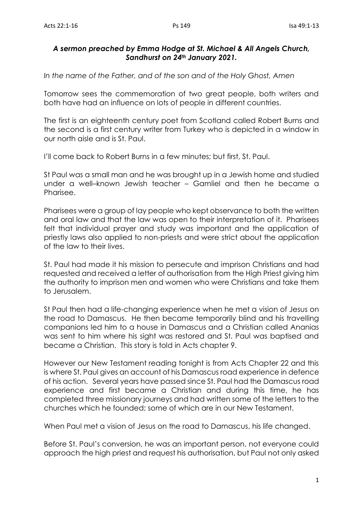## *A sermon preached by Emma Hodge at St. Michael & All Angels Church, Sandhurst on 24th January 2021.*

*In the name of the Father, and of the son and of the Holy Ghost, Amen*

Tomorrow sees the commemoration of two great people, both writers and both have had an influence on lots of people in different countries.

The first is an eighteenth century poet from Scotland called Robert Burns and the second is a first century writer from Turkey who is depicted in a window in our north aisle and is St. Paul.

I'll come back to Robert Burns in a few minutes; but first, St. Paul.

St Paul was a small man and he was brought up in a Jewish home and studied under a well–known Jewish teacher – Gamliel and then he became a Pharisee.

Pharisees were a group of lay people who kept observance to both the written and oral law and that the law was open to their interpretation of it. Pharisees felt that individual prayer and study was important and the application of priestly laws also applied to non-priests and were strict about the application of the law to their lives.

St. Paul had made it his mission to persecute and imprison Christians and had requested and received a letter of authorisation from the High Priest giving him the authority to imprison men and women who were Christians and take them to Jerusalem.

St Paul then had a life-changing experience when he met a vision of Jesus on the road to Damascus. He then became temporarily blind and his travelling companions led him to a house in Damascus and a Christian called Ananias was sent to him where his sight was restored and St. Paul was baptised and became a Christian. This story is told in Acts chapter 9.

However our New Testament reading tonight is from Acts Chapter 22 and this is where St. Paul gives an account of his Damascus road experience in defence of his action. Several years have passed since St. Paul had the Damascus road experience and first became a Christian and during this time, he has completed three missionary journeys and had written some of the letters to the churches which he founded; some of which are in our New Testament.

When Paul met a vision of Jesus on the road to Damascus, his life changed.

Before St. Paul's conversion, he was an important person, not everyone could approach the high priest and request his authorisation, but Paul not only asked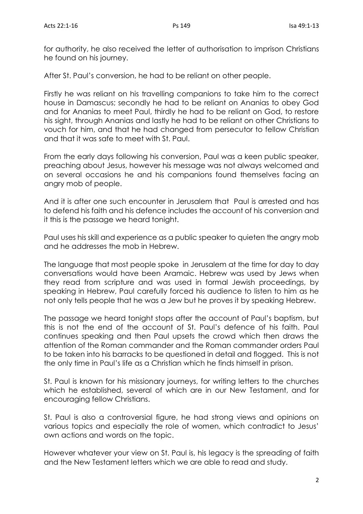for authority, he also received the letter of authorisation to imprison Christians he found on his journey.

After St. Paul's conversion, he had to be reliant on other people.

Firstly he was reliant on his travelling companions to take him to the correct house in Damascus; secondly he had to be reliant on Ananias to obey God and for Ananias to meet Paul, thirdly he had to be reliant on God, to restore his sight, through Ananias and lastly he had to be reliant on other Christians to vouch for him, and that he had changed from persecutor to fellow Christian and that it was safe to meet with St. Paul.

From the early days following his conversion, Paul was a keen public speaker, preaching about Jesus, however his message was not always welcomed and on several occasions he and his companions found themselves facing an angry mob of people.

And it is after one such encounter in Jerusalem that Paul is arrested and has to defend his faith and his defence includes the account of his conversion and it this is the passage we heard tonight.

Paul uses his skill and experience as a public speaker to quieten the angry mob and he addresses the mob in Hebrew.

The language that most people spoke in Jerusalem at the time for day to day conversations would have been Aramaic. Hebrew was used by Jews when they read from scripture and was used in formal Jewish proceedings, by speaking in Hebrew, Paul carefully forced his audience to listen to him as he not only tells people that he was a Jew but he proves it by speaking Hebrew.

The passage we heard tonight stops after the account of Paul's baptism, but this is not the end of the account of St. Paul's defence of his faith. Paul continues speaking and then Paul upsets the crowd which then draws the attention of the Roman commander and the Roman commander orders Paul to be taken into his barracks to be questioned in detail and flogged. This is not the only time in Paul's life as a Christian which he finds himself in prison.

St. Paul is known for his missionary journeys, for writing letters to the churches which he established, several of which are in our New Testament, and for encouraging fellow Christians.

St. Paul is also a controversial figure, he had strong views and opinions on various topics and especially the role of women, which contradict to Jesus' own actions and words on the topic.

However whatever your view on St. Paul is, his legacy is the spreading of faith and the New Testament letters which we are able to read and study.